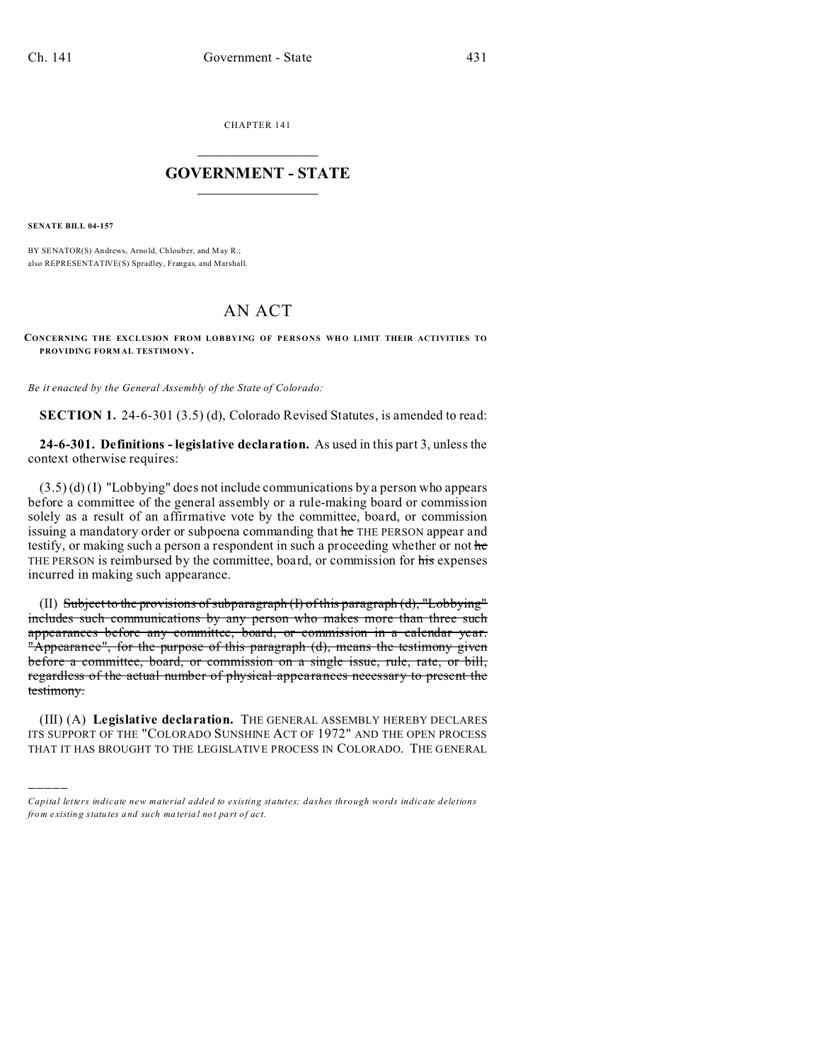CHAPTER 141  $\overline{\phantom{a}}$  , where  $\overline{\phantom{a}}$ 

## **GOVERNMENT - STATE**  $\_$   $\_$

**SENATE BILL 04-157**

)))))

BY SENATOR(S) Andrews, Arnold, Chlouber, and May R.; also REPRESENTATIVE(S) Spradley, Frangas, and Marshall.

## AN ACT

**CONCERNING THE EXCLUSION FROM LOBBYING OF PERSONS WHO LIMIT THEIR ACTIVITIES TO PROVIDING FORM AL TESTIMONY .**

*Be it enacted by the General Assembly of the State of Colorado:*

**SECTION 1.** 24-6-301 (3.5) (d), Colorado Revised Statutes, is amended to read:

**24-6-301. Definitions - legislative declaration.** As used in this part 3, unless the context otherwise requires:

 $(3.5)$  (d) (I) "Lobbying" does not include communications by a person who appears before a committee of the general assembly or a rule-making board or commission solely as a result of an affirmative vote by the committee, board, or commission issuing a mandatory order or subpoena commanding that he THE PERSON appear and testify, or making such a person a respondent in such a proceeding whether or not he THE PERSON is reimbursed by the committee, board, or commission for his expenses incurred in making such appearance.

(II) Subject to the provisions of subparagraph (I) of this paragraph (d), "Lobbying" includes such communications by any person who makes more than three such appearances before any committee, board, or commission in a calendar year. "Appearance", for the purpose of this paragraph (d), means the testimony given before a committee, board, or commission on a single issue, rule, rate, or bill, regardless of the actual number of physical appearances necessary to present the testimony.

(III) (A) **Legislative declaration.** THE GENERAL ASSEMBLY HEREBY DECLARES ITS SUPPORT OF THE "COLORADO SUNSHINE ACT OF 1972" AND THE OPEN PROCESS THAT IT HAS BROUGHT TO THE LEGISLATIVE PROCESS IN COLORADO. THE GENERAL

*Capital letters indicate new material added to existing statutes; dashes through words indicate deletions from e xistin g statu tes a nd such ma teria l no t pa rt of ac t.*